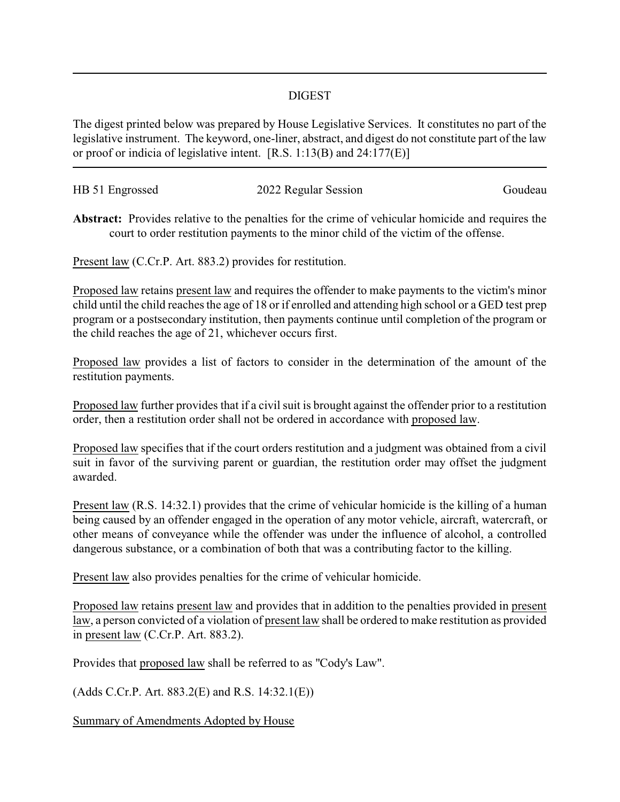## DIGEST

The digest printed below was prepared by House Legislative Services. It constitutes no part of the legislative instrument. The keyword, one-liner, abstract, and digest do not constitute part of the law or proof or indicia of legislative intent. [R.S. 1:13(B) and 24:177(E)]

| HB 51 Engrossed | 2022 Regular Session | Goudeau |
|-----------------|----------------------|---------|
|                 |                      |         |

**Abstract:** Provides relative to the penalties for the crime of vehicular homicide and requires the court to order restitution payments to the minor child of the victim of the offense.

Present law (C.Cr.P. Art. 883.2) provides for restitution.

Proposed law retains present law and requires the offender to make payments to the victim's minor child until the child reaches the age of 18 or if enrolled and attending high school or a GED test prep program or a postsecondary institution, then payments continue until completion of the program or the child reaches the age of 21, whichever occurs first.

Proposed law provides a list of factors to consider in the determination of the amount of the restitution payments.

Proposed law further provides that if a civil suit is brought against the offender prior to a restitution order, then a restitution order shall not be ordered in accordance with proposed law.

Proposed law specifies that if the court orders restitution and a judgment was obtained from a civil suit in favor of the surviving parent or guardian, the restitution order may offset the judgment awarded.

Present law (R.S. 14:32.1) provides that the crime of vehicular homicide is the killing of a human being caused by an offender engaged in the operation of any motor vehicle, aircraft, watercraft, or other means of conveyance while the offender was under the influence of alcohol, a controlled dangerous substance, or a combination of both that was a contributing factor to the killing.

Present law also provides penalties for the crime of vehicular homicide.

Proposed law retains present law and provides that in addition to the penalties provided in present law, a person convicted of a violation of present law shall be ordered to make restitution as provided in present law (C.Cr.P. Art. 883.2).

Provides that proposed law shall be referred to as "Cody's Law".

(Adds C.Cr.P. Art. 883.2(E) and R.S. 14:32.1(E))

Summary of Amendments Adopted by House